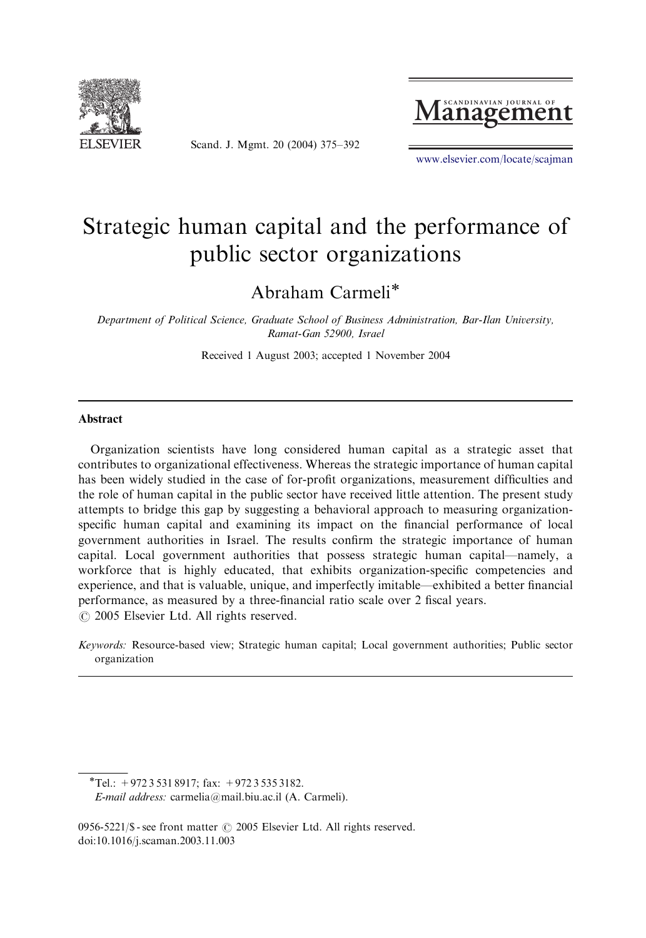

Scand. J. Mgmt. 20 (2004) 375–392



<www.elsevier.com/locate/scajman>

## Strategic human capital and the performance of public sector organizations

Abraham Carmeli

Department of Political Science, Graduate School of Business Administration, Bar-Ilan University, Ramat-Gan 52900, Israel

Received 1 August 2003; accepted 1 November 2004

#### Abstract

Organization scientists have long considered human capital as a strategic asset that contributes to organizational effectiveness. Whereas the strategic importance of human capital has been widely studied in the case of for-profit organizations, measurement difficulties and the role of human capital in the public sector have received little attention. The present study attempts to bridge this gap by suggesting a behavioral approach to measuring organizationspecific human capital and examining its impact on the financial performance of local government authorities in Israel. The results confirm the strategic importance of human capital. Local government authorities that possess strategic human capital—namely, a workforce that is highly educated, that exhibits organization-specific competencies and experience, and that isvaluable, unique, and imperfectly imitable—exhibited a better financial performance, as measured by a three-financial ratio scale over 2 fiscal years.  $\odot$  2005 Elsevier Ltd. All rights reserved.

Keywords: Resource-based view; Strategic human capital; Local government authorities; Public sector organization

 $*$ Tel.: +972 3 531 8917; fax: +972 3 535 3182.

E-mail address: carmelia@mail.biu.ac.il (A. Carmeli).

<sup>0956-5221/\$ -</sup> see front matter  $\odot$  2005 Elsevier Ltd. All rights reserved. doi:10.1016/j.scaman.2003.11.003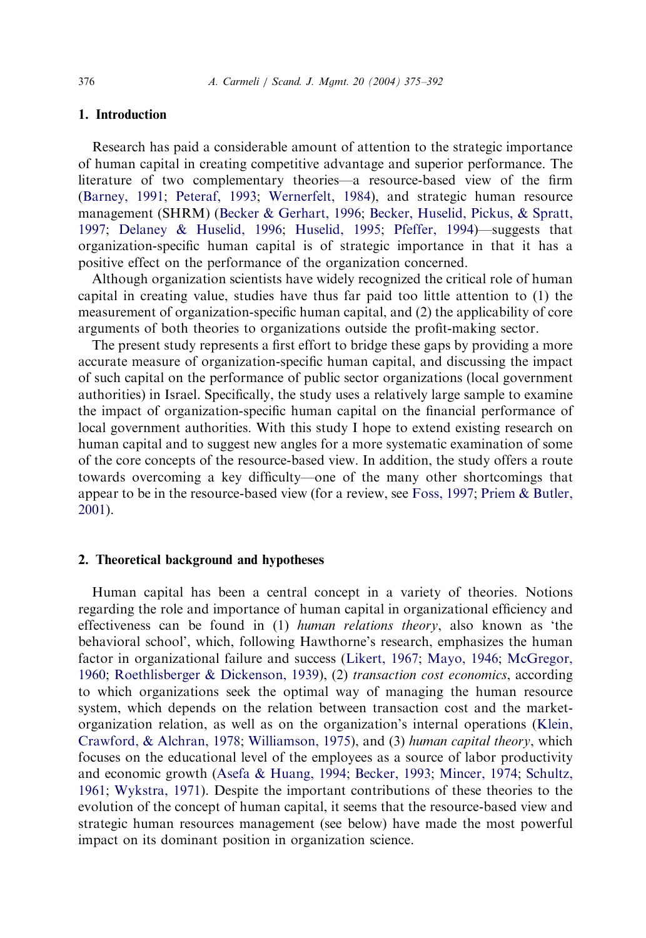### 1. Introduction

Research has paid a considerable amount of attention to the strategic importance of human capital in creating competitive advantage and superior performance. The literature of two complementary theories—a resource-based view of the firm [\(Barney, 1991;](#page--1-0) [Peteraf, 1993](#page--1-0); [Wernerfelt, 1984\)](#page--1-0), and strategic human resource management (SHRM) ([Becker](#page--1-0) & [Gerhart, 1996;](#page--1-0) [Becker, Huselid, Pickus,](#page--1-0) & [Spratt,](#page--1-0) [1997;](#page--1-0) [Delaney & Huselid, 1996](#page--1-0); [Huselid, 1995](#page--1-0); [Pfeffer, 1994](#page--1-0))—suggests that organization-specific human capital is of strategic importance in that it has a positive effect on the performance of the organization concerned.

Although organization scientists have widely recognized the critical role of human capital in creating value, studies have thus far paid too little attention to (1) the measurement of organization-specific human capital, and (2) the applicability of core arguments of both theories to organizations outside the profit-making sector.

The present study represents a first effort to bridge these gaps by providing a more accurate measure of organization-specific human capital, and discussing the impact of such capital on the performance of public sector organizations (local government authorities) in Israel. Specifically, the study uses a relatively large sample to examine the impact of organization-specific human capital on the financial performance of local government authorities. With this study I hope to extend existing research on human capital and to suggest new angles for a more systematic examination of some of the core concepts of the resource-based view. In addition, the study offers a route towards overcoming a key difficulty—one of the many other shortcomings that appear to be in the resource-based view (for a review, see [Foss, 1997;](#page--1-0) [Priem](#page--1-0) & [Butler,](#page--1-0) [2001\)](#page--1-0).

#### 2. Theoretical background and hypotheses

Human capital has been a central concept in a variety of theories. Notions regarding the role and importance of human capital in organizational efficiency and effectiveness can be found in (1) human relations theory, also known as 'the behavioral school', which, following Hawthorne's research, emphasizes the human factor in organizational failure and success ([Likert, 1967](#page--1-0); [Mayo, 1946](#page--1-0); [McGregor,](#page--1-0) [1960;](#page--1-0) [Roethlisberger & Dickenson, 1939](#page--1-0)), (2) transaction cost economics, according to which organizations seek the optimal way of managing the human resource system, which depends on the relation between transaction cost and the marketorganization relation, aswell ason the organization'sinternal operations[\(Klein,](#page--1-0) [Crawford, & Alchran, 1978](#page--1-0); [Williamson, 1975](#page--1-0)), and (3) human capital theory, which focuses on the educational level of the employees as a source of labor productivity and economic growth [\(Asefa & Huang, 1994](#page--1-0); [Becker, 1993](#page--1-0); [Mincer, 1974](#page--1-0); [Schultz,](#page--1-0) [1961;](#page--1-0) [Wykstra, 1971\)](#page--1-0). Despite the important contributions of these theories to the evolution of the concept of human capital, it seems that the resource-based view and strategic human resources management (see below) have made the most powerful impact on its dominant position in organization science.